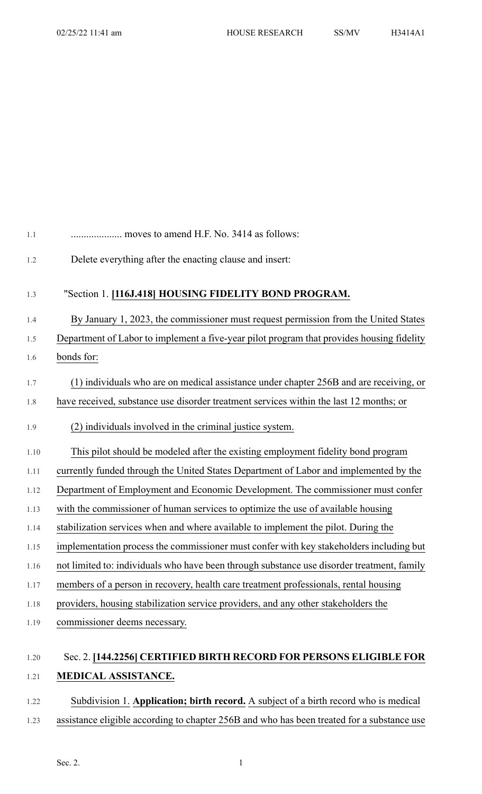| $1.1\,$ | moves to amend H.F. No. 3414 as follows:                                                   |
|---------|--------------------------------------------------------------------------------------------|
| 1.2     | Delete everything after the enacting clause and insert:                                    |
| 1.3     | "Section 1. [116J.418] HOUSING FIDELITY BOND PROGRAM.                                      |
| 1.4     | By January 1, 2023, the commissioner must request permission from the United States        |
| 1.5     | Department of Labor to implement a five-year pilot program that provides housing fidelity  |
| 1.6     | bonds for:                                                                                 |
| 1.7     | (1) individuals who are on medical assistance under chapter 256B and are receiving, or     |
| 1.8     | have received, substance use disorder treatment services within the last 12 months; or     |
| 1.9     | (2) individuals involved in the criminal justice system.                                   |
| 1.10    | This pilot should be modeled after the existing employment fidelity bond program           |
| 1.11    | currently funded through the United States Department of Labor and implemented by the      |
| 1.12    | Department of Employment and Economic Development. The commissioner must confer            |
| 1.13    | with the commissioner of human services to optimize the use of available housing           |
| 1.14    | stabilization services when and where available to implement the pilot. During the         |
| 1.15    | implementation process the commissioner must confer with key stakeholders including but    |
| 1.16    | not limited to: individuals who have been through substance use disorder treatment, family |
| 1.17    | members of a person in recovery, health care treatment professionals, rental housing       |
| 1.18    | providers, housing stabilization service providers, and any other stakeholders the         |
| 1.19    | commissioner deems necessary.                                                              |
| 1.20    | Sec. 2. [144.2256] CERTIFIED BIRTH RECORD FOR PERSONS ELIGIBLE FOR                         |

## 1.21 **MEDICAL ASSISTANCE.**

1.22 Subdivision 1. **Application; birth record.** A subject of a birth record who is medical 1.23 assistance eligible according to chapter 256B and who has been treated for a substance use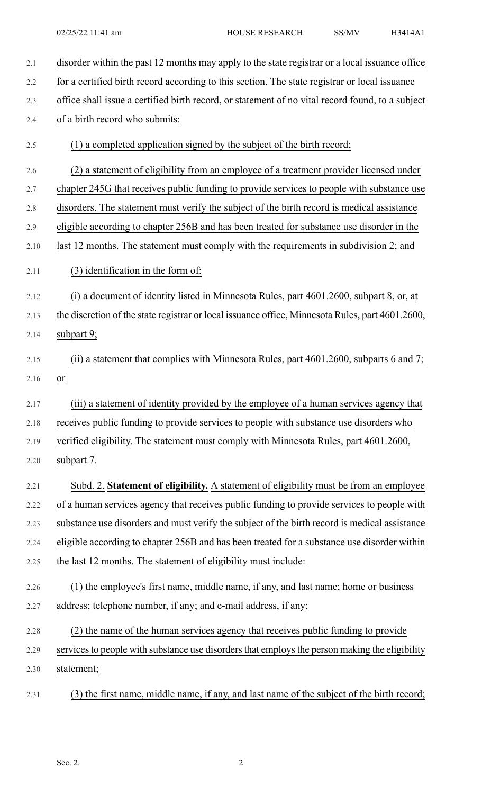| 2.1  | disorder within the past 12 months may apply to the state registrar or a local issuance office   |
|------|--------------------------------------------------------------------------------------------------|
| 2.2  | for a certified birth record according to this section. The state registrar or local issuance    |
| 2.3  | office shall issue a certified birth record, or statement of no vital record found, to a subject |
| 2.4  | of a birth record who submits:                                                                   |
| 2.5  | (1) a completed application signed by the subject of the birth record;                           |
| 2.6  | (2) a statement of eligibility from an employee of a treatment provider licensed under           |
| 2.7  | chapter 245G that receives public funding to provide services to people with substance use       |
| 2.8  | disorders. The statement must verify the subject of the birth record is medical assistance       |
| 2.9  | eligible according to chapter 256B and has been treated for substance use disorder in the        |
| 2.10 | last 12 months. The statement must comply with the requirements in subdivision 2; and            |
| 2.11 | (3) identification in the form of:                                                               |
| 2.12 | (i) a document of identity listed in Minnesota Rules, part 4601.2600, subpart 8, or, at          |
| 2.13 | the discretion of the state registrar or local issuance office, Minnesota Rules, part 4601.2600, |
| 2.14 | subpart 9;                                                                                       |
| 2.15 | (ii) a statement that complies with Minnesota Rules, part $4601.2600$ , subparts 6 and 7;        |
| 2.16 | or                                                                                               |
| 2.17 | (iii) a statement of identity provided by the employee of a human services agency that           |
| 2.18 | receives public funding to provide services to people with substance use disorders who           |
| 2.19 | verified eligibility. The statement must comply with Minnesota Rules, part 4601.2600,            |
| 2.20 | subpart 7.                                                                                       |
| 2.21 | Subd. 2. Statement of eligibility. A statement of eligibility must be from an employee           |
| 2.22 | of a human services agency that receives public funding to provide services to people with       |
| 2.23 | substance use disorders and must verify the subject of the birth record is medical assistance    |
| 2.24 | eligible according to chapter 256B and has been treated for a substance use disorder within      |
| 2.25 | the last 12 months. The statement of eligibility must include:                                   |
| 2.26 | (1) the employee's first name, middle name, if any, and last name; home or business              |
| 2.27 | address; telephone number, if any; and e-mail address, if any;                                   |
| 2.28 | (2) the name of the human services agency that receives public funding to provide                |
| 2.29 | services to people with substance use disorders that employs the person making the eligibility   |
| 2.30 | statement;                                                                                       |
| 2.31 | (3) the first name, middle name, if any, and last name of the subject of the birth record;       |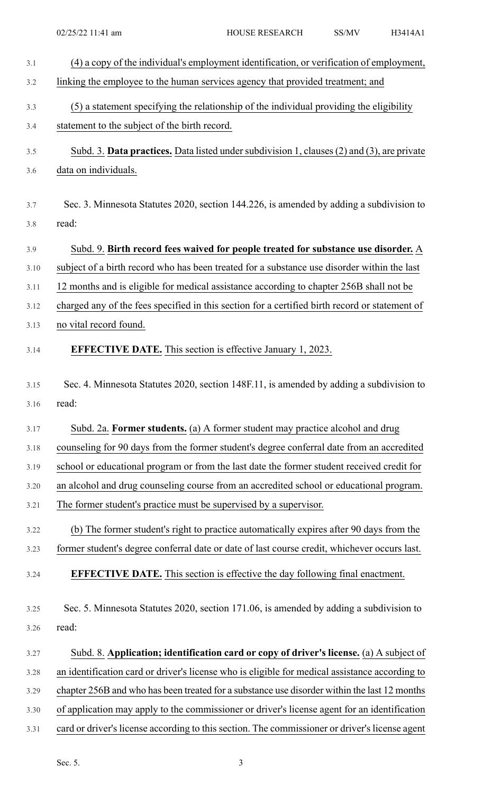| 3.1  | (4) a copy of the individual's employment identification, or verification of employment,       |
|------|------------------------------------------------------------------------------------------------|
| 3.2  | linking the employee to the human services agency that provided treatment; and                 |
| 3.3  | (5) a statement specifying the relationship of the individual providing the eligibility        |
| 3.4  | statement to the subject of the birth record.                                                  |
|      |                                                                                                |
| 3.5  | Subd. 3. Data practices. Data listed under subdivision 1, clauses (2) and (3), are private     |
| 3.6  | data on individuals.                                                                           |
| 3.7  | Sec. 3. Minnesota Statutes 2020, section 144.226, is amended by adding a subdivision to        |
| 3.8  | read:                                                                                          |
|      |                                                                                                |
| 3.9  | Subd. 9. Birth record fees waived for people treated for substance use disorder. A             |
| 3.10 | subject of a birth record who has been treated for a substance use disorder within the last    |
| 3.11 | 12 months and is eligible for medical assistance according to chapter 256B shall not be        |
| 3.12 | charged any of the fees specified in this section for a certified birth record or statement of |
| 3.13 | no vital record found.                                                                         |
| 3.14 | <b>EFFECTIVE DATE.</b> This section is effective January 1, 2023.                              |
| 3.15 | Sec. 4. Minnesota Statutes 2020, section 148F.11, is amended by adding a subdivision to        |
| 3.16 | read:                                                                                          |
| 3.17 | Subd. 2a. Former students. (a) A former student may practice alcohol and drug                  |
| 3.18 | counseling for 90 days from the former student's degree conferral date from an accredited      |
| 3.19 | school or educational program or from the last date the former student received credit for     |
| 3.20 | an alcohol and drug counseling course from an accredited school or educational program.        |
| 3.21 | The former student's practice must be supervised by a supervisor.                              |
|      |                                                                                                |
| 3.22 | (b) The former student's right to practice automatically expires after 90 days from the        |
| 3.23 | former student's degree conferral date or date of last course credit, whichever occurs last.   |
| 3.24 | <b>EFFECTIVE DATE.</b> This section is effective the day following final enactment.            |
| 3.25 | Sec. 5. Minnesota Statutes 2020, section 171.06, is amended by adding a subdivision to         |
| 3.26 | read:                                                                                          |
| 3.27 | Subd. 8. Application; identification card or copy of driver's license. (a) A subject of        |
| 3.28 | an identification card or driver's license who is eligible for medical assistance according to |
| 3.29 | chapter 256B and who has been treated for a substance use disorder within the last 12 months   |
| 3.30 | of application may apply to the commissioner or driver's license agent for an identification   |
| 3.31 | card or driver's license according to this section. The commissioner or driver's license agent |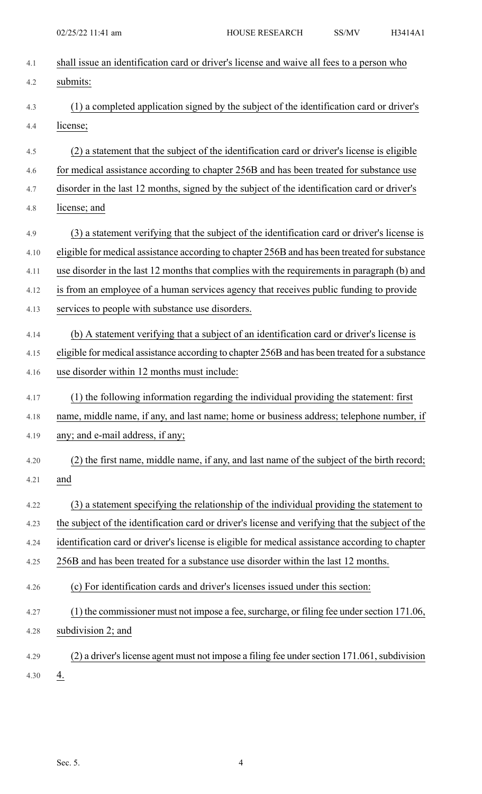| 4.1  | shall issue an identification card or driver's license and waive all fees to a person who        |
|------|--------------------------------------------------------------------------------------------------|
| 4.2  | submits:                                                                                         |
| 4.3  | (1) a completed application signed by the subject of the identification card or driver's         |
| 4.4  | license;                                                                                         |
| 4.5  | (2) a statement that the subject of the identification card or driver's license is eligible      |
| 4.6  | for medical assistance according to chapter 256B and has been treated for substance use          |
| 4.7  | disorder in the last 12 months, signed by the subject of the identification card or driver's     |
| 4.8  | license; and                                                                                     |
| 4.9  | (3) a statement verifying that the subject of the identification card or driver's license is     |
| 4.10 | eligible for medical assistance according to chapter 256B and has been treated for substance     |
| 4.11 | use disorder in the last 12 months that complies with the requirements in paragraph (b) and      |
| 4.12 | is from an employee of a human services agency that receives public funding to provide           |
| 4.13 | services to people with substance use disorders.                                                 |
| 4.14 | (b) A statement verifying that a subject of an identification card or driver's license is        |
| 4.15 | eligible for medical assistance according to chapter 256B and has been treated for a substance   |
| 4.16 | use disorder within 12 months must include:                                                      |
| 4.17 | (1) the following information regarding the individual providing the statement: first            |
| 4.18 | name, middle name, if any, and last name; home or business address; telephone number, if         |
| 4.19 | any; and e-mail address, if any;                                                                 |
| 4.20 | (2) the first name, middle name, if any, and last name of the subject of the birth record;       |
| 4.21 | and                                                                                              |
| 4.22 | (3) a statement specifying the relationship of the individual providing the statement to         |
| 4.23 | the subject of the identification card or driver's license and verifying that the subject of the |
| 4.24 | identification card or driver's license is eligible for medical assistance according to chapter  |
| 4.25 | 256B and has been treated for a substance use disorder within the last 12 months.                |
| 4.26 | (c) For identification cards and driver's licenses issued under this section:                    |
| 4.27 | (1) the commissioner must not impose a fee, surcharge, or filing fee under section 171.06,       |
| 4.28 | subdivision 2; and                                                                               |
| 4.29 | (2) a driver's license agent must not impose a filing fee under section 171.061, subdivision     |
|      |                                                                                                  |

4.30  $4.30$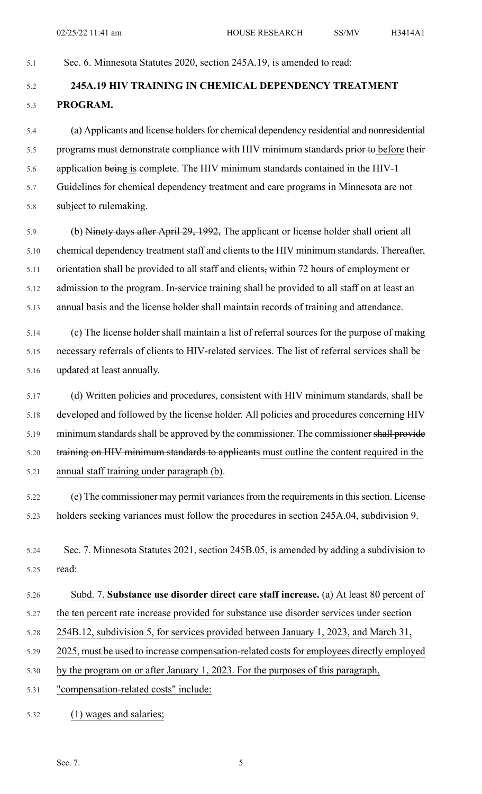#### 5.1 Sec. 6. Minnesota Statutes 2020, section 245A.19, is amended to read:

# 5.2 **245A.19 HIV TRAINING IN CHEMICAL DEPENDENCY TREATMENT** 5.3 **PROGRAM.**

5.4 (a) Applicants and license holdersfor chemical dependency residential and nonresidential 5.5 programs must demonstrate compliance with HIV minimum standards prior to before their 5.6 application being is complete. The HIV minimum standards contained in the HIV-1 5.7 Guidelines for chemical dependency treatment and care programs in Minnesota are not 5.8 subject to rulemaking.

5.9 (b) Ninety days after April 29, 1992, The applicant or license holder shall orient all 5.10 chemical dependency treatment staff and clients to the HIV minimum standards. Thereafter, 5.11 orientation shall be provided to all staff and clients, within 72 hours of employment or 5.12 admission to the program. In-service training shall be provided to all staff on at least an 5.13 annual basis and the license holder shall maintain records of training and attendance.

5.14 (c) The license holder shall maintain a list of referral sources for the purpose of making 5.15 necessary referrals of clients to HIV-related services. The list of referral services shall be 5.16 updated at least annually.

5.17 (d) Written policies and procedures, consistent with HIV minimum standards, shall be 5.18 developed and followed by the license holder. All policies and procedures concerning HIV 5.19 minimum standards shall be approved by the commissioner. The commissioner shall provide 5.20 training on HIV minimum standards to applicants must outline the content required in the 5.21 annual staff training under paragraph (b).

5.22 (e) The commissioner may permit variancesfrom the requirementsin thissection. License 5.23 holders seeking variances must follow the procedures in section 245A.04, subdivision 9.

5.24 Sec. 7. Minnesota Statutes 2021, section 245B.05, is amended by adding a subdivision to 5.25 read:

- 5.26 Subd. 7. **Substance use disorder direct care staff increase.** (a) At least 80 percent of
- 5.27 the ten percent rate increase provided for substance use disorder services under section
- 5.28 254B.12, subdivision 5, for services provided between January 1, 2023, and March 31,
- 5.29 2025, must be used to increase compensation-related costs for employees directly employed
- 5.30 by the program on or after January 1, 2023. For the purposes of this paragraph,
- 5.31 "compensation-related costs" include:
- 5.32 (1) wages and salaries;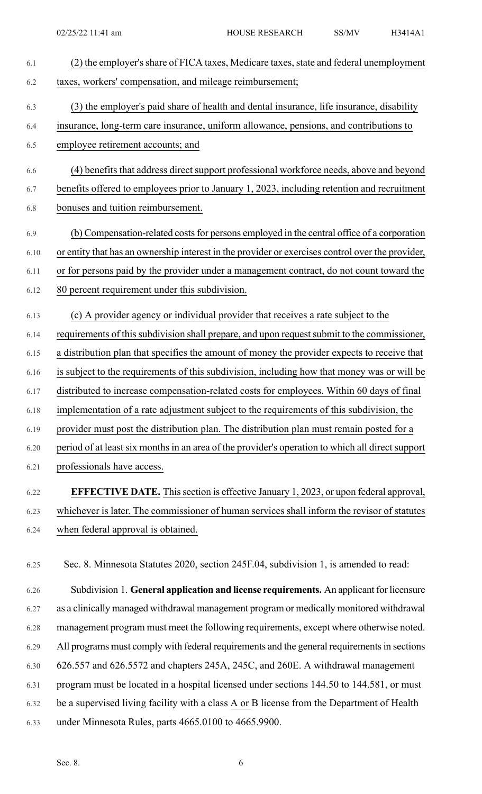| 6.1  | (2) the employer's share of FICA taxes, Medicare taxes, state and federal unemployment           |
|------|--------------------------------------------------------------------------------------------------|
| 6.2  | taxes, workers' compensation, and mileage reimbursement;                                         |
| 6.3  | (3) the employer's paid share of health and dental insurance, life insurance, disability         |
| 6.4  | insurance, long-term care insurance, uniform allowance, pensions, and contributions to           |
| 6.5  | employee retirement accounts; and                                                                |
| 6.6  | (4) benefits that address direct support professional workforce needs, above and beyond          |
| 6.7  | benefits offered to employees prior to January 1, 2023, including retention and recruitment      |
| 6.8  | bonuses and tuition reimbursement.                                                               |
| 6.9  | (b) Compensation-related costs for persons employed in the central office of a corporation       |
| 6.10 | or entity that has an ownership interest in the provider or exercises control over the provider, |
| 6.11 | or for persons paid by the provider under a management contract, do not count toward the         |
| 6.12 | 80 percent requirement under this subdivision.                                                   |
| 6.13 | (c) A provider agency or individual provider that receives a rate subject to the                 |
| 6.14 | requirements of this subdivision shall prepare, and upon request submit to the commissioner,     |
| 6.15 | a distribution plan that specifies the amount of money the provider expects to receive that      |
| 6.16 | is subject to the requirements of this subdivision, including how that money was or will be      |
| 6.17 | distributed to increase compensation-related costs for employees. Within 60 days of final        |
| 6.18 | implementation of a rate adjustment subject to the requirements of this subdivision, the         |
| 6.19 | provider must post the distribution plan. The distribution plan must remain posted for a         |
| 6.20 | period of at least six months in an area of the provider's operation to which all direct support |
| 6.21 | professionals have access.                                                                       |
| 6.22 | <b>EFFECTIVE DATE.</b> This section is effective January 1, 2023, or upon federal approval,      |
| 6.23 | whichever is later. The commissioner of human services shall inform the revisor of statutes      |
| 6.24 | when federal approval is obtained.                                                               |

6.25 Sec. 8. Minnesota Statutes 2020, section 245F.04, subdivision 1, is amended to read:

6.26 Subdivision 1. **General application and license requirements.** An applicant for licensure 6.27 as a clinically managed withdrawal management program or medically monitored withdrawal 6.28 management program must meet the following requirements, except where otherwise noted. 6.29 All programs must comply with federal requirements and the general requirements in sections 6.30 626.557 and 626.5572 and chapters 245A, 245C, and 260E. A withdrawal management 6.31 program must be located in a hospital licensed under sections 144.50 to 144.581, or must 6.32 be a supervised living facility with a class A or B license from the Department of Health 6.33 under Minnesota Rules, parts 4665.0100 to 4665.9900.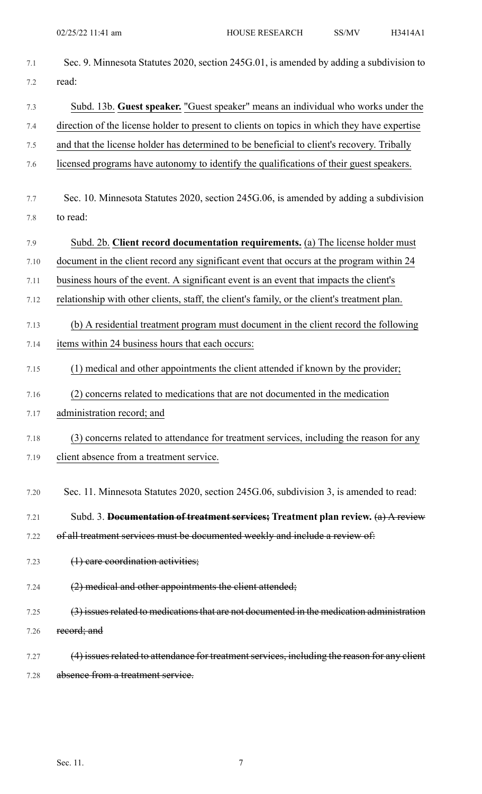| 7.1  | Sec. 9. Minnesota Statutes 2020, section 245G.01, is amended by adding a subdivision to      |
|------|----------------------------------------------------------------------------------------------|
| 7.2  | read:                                                                                        |
| 7.3  | Subd. 13b. Guest speaker. "Guest speaker" means an individual who works under the            |
| 7.4  | direction of the license holder to present to clients on topics in which they have expertise |
| 7.5  | and that the license holder has determined to be beneficial to client's recovery. Tribally   |
| 7.6  | licensed programs have autonomy to identify the qualifications of their guest speakers.      |
| 7.7  | Sec. 10. Minnesota Statutes 2020, section 245G.06, is amended by adding a subdivision        |
| 7.8  | to read:                                                                                     |
| 7.9  | Subd. 2b. Client record documentation requirements. (a) The license holder must              |
| 7.10 | document in the client record any significant event that occurs at the program within 24     |
| 7.11 | business hours of the event. A significant event is an event that impacts the client's       |
| 7.12 | relationship with other clients, staff, the client's family, or the client's treatment plan. |
| 7.13 | (b) A residential treatment program must document in the client record the following         |
| 7.14 | items within 24 business hours that each occurs:                                             |
| 7.15 | (1) medical and other appointments the client attended if known by the provider;             |
| 7.16 | concerns related to medications that are not documented in the medication<br>(2)             |
| 7.17 | administration record; and                                                                   |
| 7.18 | (3) concerns related to attendance for treatment services, including the reason for any      |
| 7.19 | client absence from a treatment service.                                                     |
| 7.20 | Sec. 11. Minnesota Statutes 2020, section 245G.06, subdivision 3, is amended to read:        |
| 7.21 | Subd. 3. Documentation of treatment services; Treatment plan review. $(a)$ A review          |
| 7.22 | of all treatment services must be documented weekly and include a review of:                 |
| 7.23 | (1) care coordination activities;                                                            |
| 7.24 | $(2)$ medical and other appointments the client attended;                                    |
| 7.25 | (3) issues related to medications that are not documented in the medication administration   |
| 7.26 | record; and                                                                                  |
| 7.27 | (4) issues related to attendance for treatment services, including the reason for any elient |
| 7.28 | absence from a treatment service.                                                            |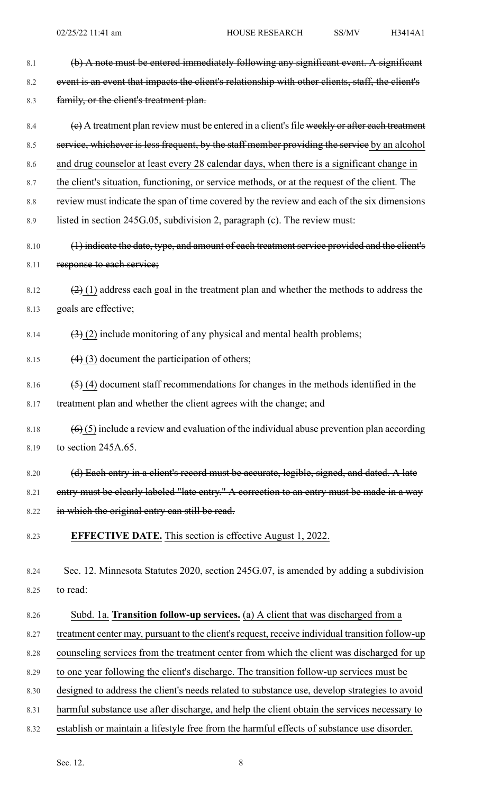8.1 (b) A note must be entered immediately following any significant event. A significant 8.2 event is an event that impacts the client's relationship with other clients, staff, the client's 8.3 family, or the client's treatment plan. 8.4  $\left\{ \mathbf{e} \right\}$  A treatment plan review must be entered in a client's file weekly or after each treatment 8.5 service, whichever is less frequent, by the staff member providing the service by an alcohol 8.6 and drug counselor at least every 28 calendar days, when there is a significant change in 8.7 the client's situation, functioning, or service methods, or at the request of the client. The 8.8 review must indicate the span of time covered by the review and each of the six dimensions 8.9 listed in section 245G.05, subdivision 2, paragraph (c). The review must: 8.10 (1) indicate the date, type, and amount of each treatment service provided and the client's 8.11 response to each service; 8.12  $\left(2\right)(1)$  address each goal in the treatment plan and whether the methods to address the 8.13 goals are effective; 8.14  $(3)$  (2) include monitoring of any physical and mental health problems; 8.15  $(4)$  (3) document the participation of others; 8.16  $(5)$  (4) document staff recommendations for changes in the methods identified in the 8.17 treatment plan and whether the client agrees with the change; and 8.18  $(6)(5)$  include a review and evaluation of the individual abuse prevention plan according 8.19 to section 245A.65. 8.20 (d) Each entry in a client's record must be accurate, legible, signed, and dated. A late 8.21 entry must be clearly labeled "late entry." A correction to an entry must be made in a way 8.22 in which the original entry can still be read. 8.23 **EFFECTIVE DATE.** This section is effective August 1, 2022. 8.24 Sec. 12. Minnesota Statutes 2020, section 245G.07, is amended by adding a subdivision 8.25 to read: 8.26 Subd. 1a. **Transition follow-up services.** (a) A client that was discharged from a 8.27 treatment center may, pursuant to the client's request, receive individual transition follow-up 8.28 counseling services from the treatment center from which the client was discharged for up 8.29 to one year following the client's discharge. The transition follow-up services must be 8.30 designed to address the client's needs related to substance use, develop strategies to avoid

8.31 harmful substance use after discharge, and help the client obtain the services necessary to

8.32 establish or maintain a lifestyle free from the harmful effects of substance use disorder.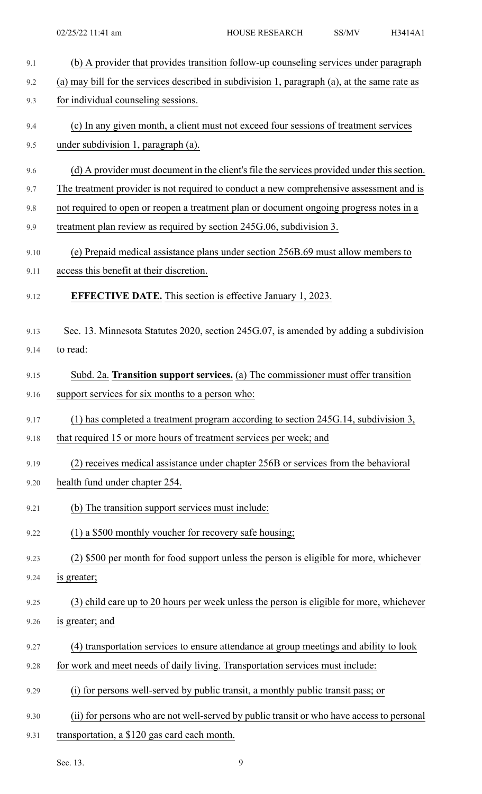| 9.1  | (b) A provider that provides transition follow-up counseling services under paragraph        |
|------|----------------------------------------------------------------------------------------------|
| 9.2  | (a) may bill for the services described in subdivision 1, paragraph (a), at the same rate as |
| 9.3  | for individual counseling sessions.                                                          |
| 9.4  | (c) In any given month, a client must not exceed four sessions of treatment services         |
| 9.5  | under subdivision 1, paragraph (a).                                                          |
| 9.6  | (d) A provider must document in the client's file the services provided under this section.  |
| 9.7  | The treatment provider is not required to conduct a new comprehensive assessment and is      |
| 9.8  | not required to open or reopen a treatment plan or document ongoing progress notes in a      |
| 9.9  | treatment plan review as required by section 245G.06, subdivision 3.                         |
| 9.10 | (e) Prepaid medical assistance plans under section 256B.69 must allow members to             |
| 9.11 | access this benefit at their discretion.                                                     |
| 9.12 | <b>EFFECTIVE DATE.</b> This section is effective January 1, 2023.                            |
| 9.13 | Sec. 13. Minnesota Statutes 2020, section 245G.07, is amended by adding a subdivision        |
| 9.14 | to read:                                                                                     |
| 9.15 | Subd. 2a. Transition support services. (a) The commissioner must offer transition            |
| 9.16 | support services for six months to a person who:                                             |
| 9.17 | (1) has completed a treatment program according to section 245G.14, subdivision 3,           |
| 9.18 | that required 15 or more hours of treatment services per week; and                           |
| 9.19 | (2) receives medical assistance under chapter 256B or services from the behavioral           |
| 9.20 | health fund under chapter 254.                                                               |
| 9.21 | (b) The transition support services must include:                                            |
| 9.22 | (1) a \$500 monthly voucher for recovery safe housing;                                       |
| 9.23 | (2) \$500 per month for food support unless the person is eligible for more, whichever       |
| 9.24 | is greater;                                                                                  |
| 9.25 | (3) child care up to 20 hours per week unless the person is eligible for more, whichever     |
| 9.26 | is greater; and                                                                              |
| 9.27 | (4) transportation services to ensure attendance at group meetings and ability to look       |
| 9.28 | for work and meet needs of daily living. Transportation services must include:               |
| 9.29 | (i) for persons well-served by public transit, a monthly public transit pass; or             |
| 9.30 | (ii) for persons who are not well-served by public transit or who have access to personal    |
| 9.31 | transportation, a \$120 gas card each month.                                                 |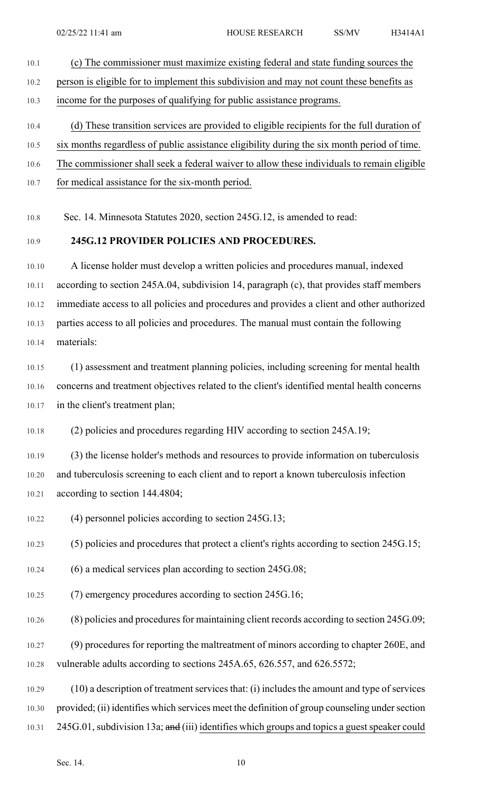- 10.1 (c) The commissioner must maximize existing federal and state funding sources the 10.2 person is eligible for to implement this subdivision and may not count these benefits as 10.3 income for the purposes of qualifying for public assistance programs. 10.4 (d) These transition services are provided to eligible recipients for the full duration of 10.5 six months regardless of public assistance eligibility during the six month period of time.
- 10.6 The commissioner shall seek a federal waiver to allow these individuals to remain eligible
- 10.7 for medical assistance for the six-month period.

10.8 Sec. 14. Minnesota Statutes 2020, section 245G.12, is amended to read:

#### 10.9 **245G.12 PROVIDER POLICIES AND PROCEDURES.**

10.10 A license holder must develop a written policies and procedures manual, indexed 10.11 according to section 245A.04, subdivision 14, paragraph (c), that provides staff members 10.12 immediate access to all policies and procedures and provides a client and other authorized 10.13 parties access to all policies and procedures. The manual must contain the following 10.14 materials:

10.15 (1) assessment and treatment planning policies, including screening for mental health 10.16 concerns and treatment objectives related to the client's identified mental health concerns 10.17 in the client's treatment plan;

10.18 (2) policies and procedures regarding HIV according to section 245A.19;

10.19 (3) the license holder's methods and resources to provide information on tuberculosis 10.20 and tuberculosis screening to each client and to report a known tuberculosis infection 10.21 according to section 144.4804;

10.22 (4) personnel policies according to section 245G.13;

10.23 (5) policies and procedures that protect a client's rights according to section 245G.15;

- 10.24 (6) a medical services plan according to section 245G.08;
- 10.25 (7) emergency procedures according to section 245G.16;
- $10.26$  (8) policies and procedures for maintaining client records according to section 245G.09;

10.27 (9) procedures for reporting the maltreatment of minors according to chapter 260E, and 10.28 vulnerable adults according to sections 245A.65, 626.557, and 626.5572;

10.29 (10) a description of treatment services that: (i) includes the amount and type of services 10.30 provided; (ii) identifies which services meet the definition of group counseling under section 10.31 245G.01, subdivision 13a; and (iii) identifies which groups and topics a guest speaker could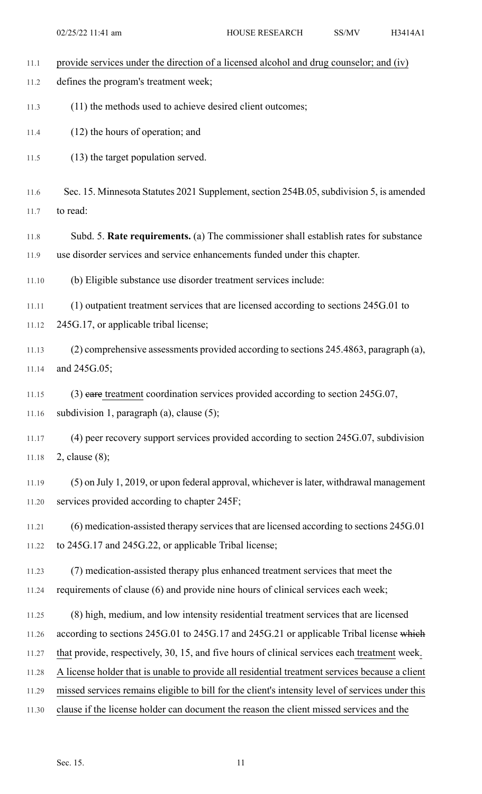| 11.1  | provide services under the direction of a licensed alcohol and drug counselor; and (iv)          |
|-------|--------------------------------------------------------------------------------------------------|
| 11.2  | defines the program's treatment week;                                                            |
| 11.3  | (11) the methods used to achieve desired client outcomes;                                        |
| 11.4  | $(12)$ the hours of operation; and                                                               |
| 11.5  | (13) the target population served.                                                               |
| 11.6  | Sec. 15. Minnesota Statutes 2021 Supplement, section 254B.05, subdivision 5, is amended          |
| 11.7  | to read:                                                                                         |
| 11.8  | Subd. 5. Rate requirements. (a) The commissioner shall establish rates for substance             |
| 11.9  | use disorder services and service enhancements funded under this chapter.                        |
| 11.10 | (b) Eligible substance use disorder treatment services include:                                  |
| 11.11 | (1) outpatient treatment services that are licensed according to sections 245G.01 to             |
| 11.12 | 245G.17, or applicable tribal license;                                                           |
| 11.13 | (2) comprehensive assessments provided according to sections 245.4863, paragraph (a),            |
| 11.14 | and 245G.05;                                                                                     |
| 11.15 | (3) eare treatment coordination services provided according to section 245G.07,                  |
| 11.16 | subdivision 1, paragraph (a), clause (5);                                                        |
| 11.17 | (4) peer recovery support services provided according to section 245G.07, subdivision            |
| 11.18 | 2, clause $(8)$ ;                                                                                |
| 11.19 | (5) on July 1, 2019, or upon federal approval, whichever is later, withdrawal management         |
| 11.20 | services provided according to chapter 245F;                                                     |
| 11.21 | (6) medication-assisted therapy services that are licensed according to sections 245G.01         |
| 11.22 | to 245G.17 and 245G.22, or applicable Tribal license;                                            |
| 11.23 | (7) medication-assisted therapy plus enhanced treatment services that meet the                   |
| 11.24 | requirements of clause (6) and provide nine hours of clinical services each week;                |
| 11.25 | (8) high, medium, and low intensity residential treatment services that are licensed             |
| 11.26 | according to sections 245G.01 to 245G.17 and 245G.21 or applicable Tribal license which          |
| 11.27 | that provide, respectively, 30, 15, and five hours of clinical services each treatment week.     |
| 11.28 | A license holder that is unable to provide all residential treatment services because a client   |
| 11.29 | missed services remains eligible to bill for the client's intensity level of services under this |
| 11.30 | clause if the license holder can document the reason the client missed services and the          |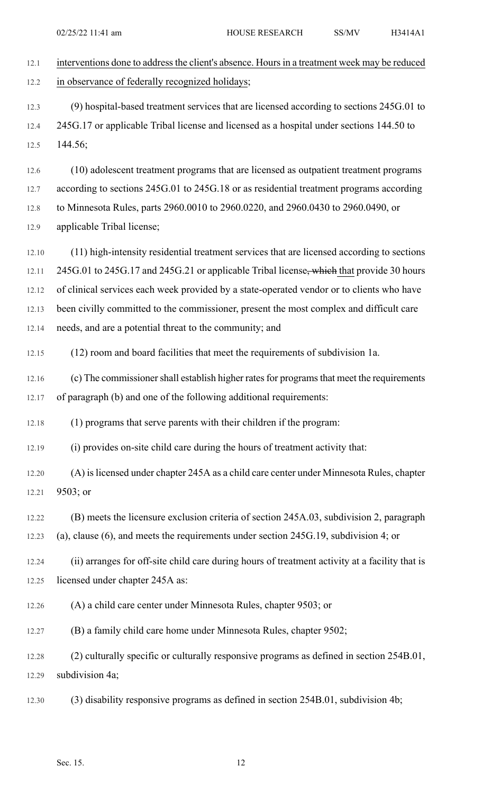| 12.1  | interventions done to address the client's absence. Hours in a treatment week may be reduced   |
|-------|------------------------------------------------------------------------------------------------|
| 12.2  | in observance of federally recognized holidays;                                                |
| 12.3  | (9) hospital-based treatment services that are licensed according to sections 245G.01 to       |
| 12.4  | 245G.17 or applicable Tribal license and licensed as a hospital under sections 144.50 to       |
| 12.5  | 144.56;                                                                                        |
| 12.6  | (10) adolescent treatment programs that are licensed as outpatient treatment programs          |
| 12.7  | according to sections 245G.01 to 245G.18 or as residential treatment programs according        |
| 12.8  | to Minnesota Rules, parts 2960.0010 to 2960.0220, and 2960.0430 to 2960.0490, or               |
| 12.9  | applicable Tribal license;                                                                     |
| 12.10 | (11) high-intensity residential treatment services that are licensed according to sections     |
| 12.11 | 245G.01 to 245G.17 and 245G.21 or applicable Tribal license, which that provide 30 hours       |
| 12.12 | of clinical services each week provided by a state-operated vendor or to clients who have      |
| 12.13 | been civilly committed to the commissioner, present the most complex and difficult care        |
| 12.14 | needs, and are a potential threat to the community; and                                        |
| 12.15 | (12) room and board facilities that meet the requirements of subdivision 1a.                   |
| 12.16 | (c) The commissioner shall establish higher rates for programs that meet the requirements      |
| 12.17 | of paragraph (b) and one of the following additional requirements:                             |
| 12.18 | (1) programs that serve parents with their children if the program:                            |
| 12.19 | (i) provides on-site child care during the hours of treatment activity that:                   |
| 12.20 | (A) is licensed under chapter 245A as a child care center under Minnesota Rules, chapter       |
| 12.21 | 9503; or                                                                                       |
| 12.22 | (B) meets the licensure exclusion criteria of section 245A.03, subdivision 2, paragraph        |
| 12.23 | (a), clause $(6)$ , and meets the requirements under section 245G.19, subdivision 4; or        |
| 12.24 | (ii) arranges for off-site child care during hours of treatment activity at a facility that is |
| 12.25 | licensed under chapter 245A as:                                                                |
| 12.26 | (A) a child care center under Minnesota Rules, chapter 9503; or                                |
| 12.27 | (B) a family child care home under Minnesota Rules, chapter 9502;                              |
| 12.28 | (2) culturally specific or culturally responsive programs as defined in section 254B.01,       |
| 12.29 | subdivision 4a;                                                                                |
| 12.30 | (3) disability responsive programs as defined in section 254B.01, subdivision 4b;              |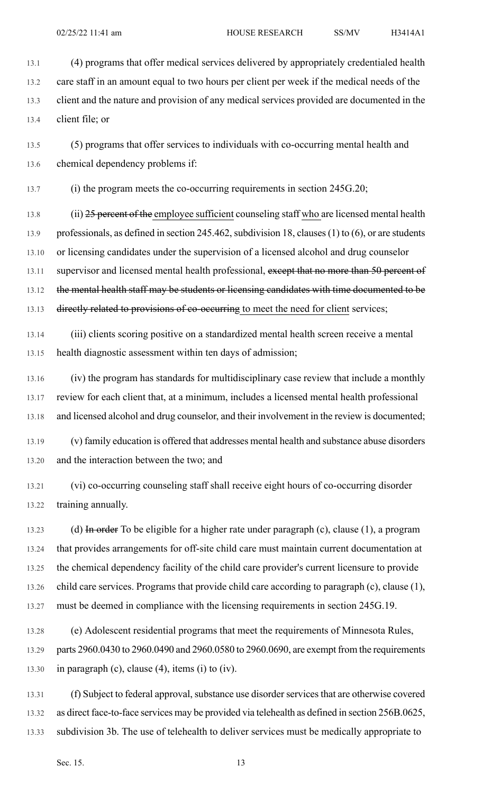13.1 (4) programs that offer medical services delivered by appropriately credentialed health 13.2 care staff in an amount equal to two hours per client per week if the medical needs of the 13.3 client and the nature and provision of any medical services provided are documented in the 13.4 client file; or

13.5 (5) programs that offer services to individuals with co-occurring mental health and 13.6 chemical dependency problems if:

13.7 (i) the program meets the co-occurring requirements in section 245G.20;

13.8 (ii) 25 percent of the employee sufficient counseling staff who are licensed mental health 13.9 professionals, as defined in section 245.462, subdivision 18, clauses (1) to (6), or are students 13.10 or licensing candidates under the supervision of a licensed alcohol and drug counselor 13.11 supervisor and licensed mental health professional, except that no more than 50 percent of 13.12 the mental health staff may be students or licensing candidates with time documented to be 13.13 directly related to provisions of co-occurring to meet the need for client services;

13.14 (iii) clients scoring positive on a standardized mental health screen receive a mental 13.15 health diagnostic assessment within ten days of admission;

13.16 (iv) the program has standards for multidisciplinary case review that include a monthly 13.17 review for each client that, at a minimum, includes a licensed mental health professional 13.18 and licensed alcohol and drug counselor, and their involvement in the review is documented;

13.19 (v) family education is offered that addresses mental health and substance abuse disorders 13.20 and the interaction between the two; and

13.21 (vi) co-occurring counseling staff shall receive eight hours of co-occurring disorder 13.22 training annually.

13.23 (d) In order To be eligible for a higher rate under paragraph (c), clause (1), a program 13.24 that provides arrangements for off-site child care must maintain current documentation at 13.25 the chemical dependency facility of the child care provider's current licensure to provide 13.26 child care services. Programs that provide child care according to paragraph (c), clause (1), 13.27 must be deemed in compliance with the licensing requirements in section 245G.19.

13.28 (e) Adolescent residential programs that meet the requirements of Minnesota Rules, 13.29 parts 2960.0430 to 2960.0490 and 2960.0580 to 2960.0690, are exempt from the requirements 13.30 in paragraph (c), clause (4), items (i) to (iv).

13.31 (f) Subject to federal approval, substance use disorder services that are otherwise covered 13.32 as direct face-to-face services may be provided via telehealth as defined in section 256B.0625, 13.33 subdivision 3b. The use of telehealth to deliver services must be medically appropriate to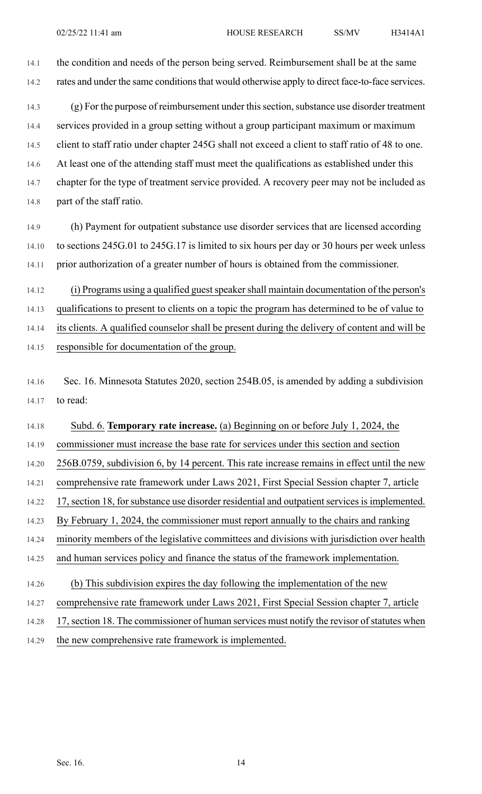14.1 the condition and needs of the person being served. Reimbursement shall be at the same 14.2 rates and under the same conditions that would otherwise apply to direct face-to-face services.

14.3 (g) For the purpose of reimbursement under this section, substance use disorder treatment 14.4 services provided in a group setting without a group participant maximum or maximum 14.5 client to staff ratio under chapter 245G shall not exceed a client to staff ratio of 48 to one. 14.6 At least one of the attending staff must meet the qualifications as established under this 14.7 chapter for the type of treatment service provided. A recovery peer may not be included as 14.8 part of the staff ratio.

14.9 (h) Payment for outpatient substance use disorder services that are licensed according 14.10 to sections 245G.01 to 245G.17 is limited to six hours per day or 30 hours per week unless 14.11 prior authorization of a greater number of hours is obtained from the commissioner.

14.12 (i) Programs using a qualified guest speaker shall maintain documentation of the person's 14.13 qualifications to present to clients on a topic the program has determined to be of value to 14.14 its clients. A qualified counselor shall be present during the delivery of content and will be 14.15 responsible for documentation of the group.

14.16 Sec. 16. Minnesota Statutes 2020, section 254B.05, is amended by adding a subdivision 14.17 to read:

14.18 Subd. 6. **Temporary rate increase.** (a) Beginning on or before July 1, 2024, the 14.19 commissioner must increase the base rate for services under this section and section 14.20 256B.0759, subdivision 6, by 14 percent. This rate increase remains in effect until the new 14.21 comprehensive rate framework under Laws 2021, First Special Session chapter 7, article 14.22 17, section 18, for substance use disorder residential and outpatient services is implemented. 14.23 By February 1, 2024, the commissioner must report annually to the chairs and ranking 14.24 minority members of the legislative committees and divisions with jurisdiction over health 14.25 and human services policy and finance the status of the framework implementation. 14.26 (b) This subdivision expires the day following the implementation of the new 14.27 comprehensive rate framework under Laws 2021, First Special Session chapter 7, article 14.28 17, section 18. The commissioner of human services must notify the revisor of statutes when

14.29 the new comprehensive rate framework is implemented.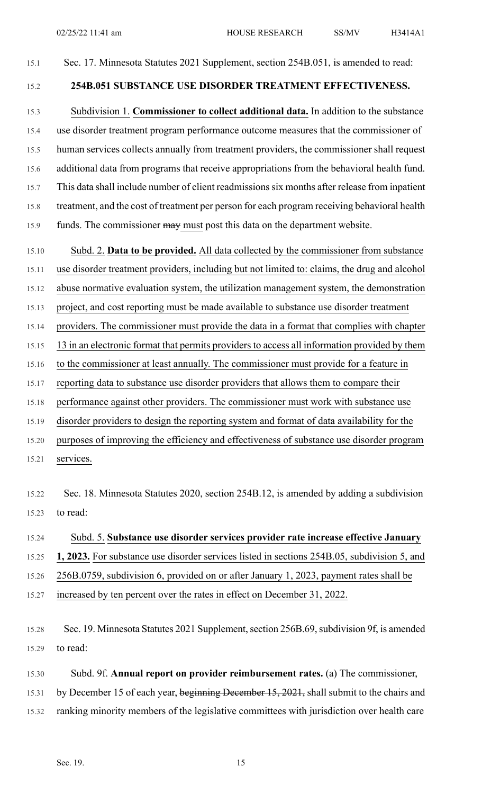#### 15.1 Sec. 17. Minnesota Statutes 2021 Supplement, section 254B.051, is amended to read:

### 15.2 **254B.051 SUBSTANCE USE DISORDER TREATMENT EFFECTIVENESS.**

15.3 Subdivision 1. **Commissioner to collect additional data.** In addition to the substance 15.4 use disorder treatment program performance outcome measures that the commissioner of 15.5 human services collects annually from treatment providers, the commissioner shall request 15.6 additional data from programs that receive appropriations from the behavioral health fund. 15.7 This data shall include number of client readmissionssix months after release from inpatient 15.8 treatment, and the cost of treatment per person for each program receiving behavioral health 15.9 funds. The commissioner may must post this data on the department website.

15.10 Subd. 2. **Data to be provided.** All data collected by the commissioner from substance

15.11 use disorder treatment providers, including but not limited to: claims, the drug and alcohol

15.12 abuse normative evaluation system, the utilization management system, the demonstration

15.13 project, and cost reporting must be made available to substance use disorder treatment

15.14 providers. The commissioner must provide the data in a format that complies with chapter

15.15 13 in an electronic format that permits providers to access all information provided by them

- 15.16 to the commissioner at least annually. The commissioner must provide for a feature in
- 15.17 reporting data to substance use disorder providers that allows them to compare their

15.18 performance against other providers. The commissioner must work with substance use

15.19 disorder providers to design the reporting system and format of data availability for the

15.20 purposes of improving the efficiency and effectiveness of substance use disorder program

15.21 services.

15.22 Sec. 18. Minnesota Statutes 2020, section 254B.12, is amended by adding a subdivision 15.23 to read:

### 15.24 Subd. 5. **Substance use disorder services provider rate increase effective January**

15.25 **1, 2023.** For substance use disorder services listed in sections 254B.05, subdivision 5, and

15.26 256B.0759, subdivision 6, provided on or after January 1, 2023, payment rates shall be

15.27 increased by ten percent over the rates in effect on December 31, 2022.

15.28 Sec. 19. Minnesota Statutes 2021 Supplement, section 256B.69, subdivision 9f, is amended 15.29 to read:

15.30 Subd. 9f. **Annual report on provider reimbursement rates.** (a) The commissioner,

15.31 by December 15 of each year, beginning December 15, 2021, shall submit to the chairs and

15.32 ranking minority members of the legislative committees with jurisdiction over health care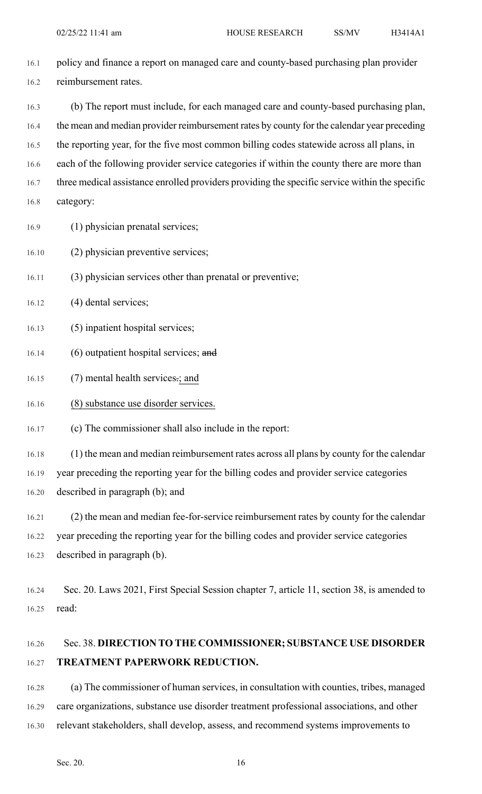- 16.1 policy and finance a report on managed care and county-based purchasing plan provider 16.2 reimbursement rates.
- 16.3 (b) The report must include, for each managed care and county-based purchasing plan, 16.4 the mean and median provider reimbursement rates by county for the calendar year preceding 16.5 the reporting year, for the five most common billing codes statewide across all plans, in 16.6 each of the following provider service categories if within the county there are more than 16.7 three medical assistance enrolled providers providing the specific service within the specific 16.8 category:
- 16.9 (1) physician prenatal services;
- 16.10 (2) physician preventive services;
- 16.11 (3) physician services other than prenatal or preventive;
- 16.12 (4) dental services;
- 16.13 (5) inpatient hospital services;
- 16.14 (6) outpatient hospital services; and
- 16.15 (7) mental health services-; and
- 16.16 (8) substance use disorder services.
- 16.17 (c) The commissioner shall also include in the report:

16.18 (1) the mean and median reimbursement rates across all plans by county for the calendar 16.19 year preceding the reporting year for the billing codes and provider service categories 16.20 described in paragraph (b); and

- 16.21 (2) the mean and median fee-for-service reimbursement rates by county for the calendar 16.22 year preceding the reporting year for the billing codes and provider service categories 16.23 described in paragraph (b).
- 16.24 Sec. 20. Laws 2021, First Special Session chapter 7, article 11, section 38, is amended to 16.25 read:

# 16.26 Sec. 38. **DIRECTION TO THE COMMISSIONER; SUBSTANCE USE DISORDER** 16.27 **TREATMENT PAPERWORK REDUCTION.**

16.28 (a) The commissioner of human services, in consultation with counties, tribes, managed 16.29 care organizations, substance use disorder treatment professional associations, and other 16.30 relevant stakeholders, shall develop, assess, and recommend systems improvements to